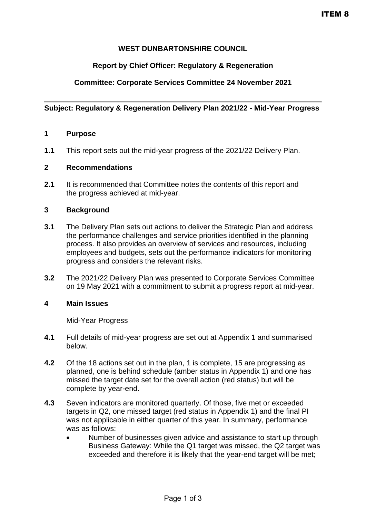# **WEST DUNBARTONSHIRE COUNCIL**

### **Report by Chief Officer: Regulatory & Regeneration**

# **Committee: Corporate Services Committee 24 November 2021**

### **Subject: Regulatory & Regeneration Delivery Plan 2021/22 - Mid-Year Progress**

### **1 Purpose**

**1.1** This report sets out the mid-year progress of the 2021/22 Delivery Plan.

### **2 Recommendations**

**2.1** It is recommended that Committee notes the contents of this report and the progress achieved at mid-year.

### **3 Background**

- **3.1** The Delivery Plan sets out actions to deliver the Strategic Plan and address the performance challenges and service priorities identified in the planning process. It also provides an overview of services and resources, including employees and budgets, sets out the performance indicators for monitoring progress and considers the relevant risks.
- **3.2** The 2021/22 Delivery Plan was presented to Corporate Services Committee on 19 May 2021 with a commitment to submit a progress report at mid-year.

#### **4 Main Issues**

#### Mid-Year Progress

- **4.1** Full details of mid-year progress are set out at Appendix 1 and summarised below.
- **4.2** Of the 18 actions set out in the plan, 1 is complete, 15 are progressing as planned, one is behind schedule (amber status in Appendix 1) and one has missed the target date set for the overall action (red status) but will be complete by year-end.
- **4.3** Seven indicators are monitored quarterly. Of those, five met or exceeded targets in Q2, one missed target (red status in Appendix 1) and the final PI was not applicable in either quarter of this year. In summary, performance was as follows:
	- Number of businesses given advice and assistance to start up through Business Gateway: While the Q1 target was missed, the Q2 target was exceeded and therefore it is likely that the year-end target will be met;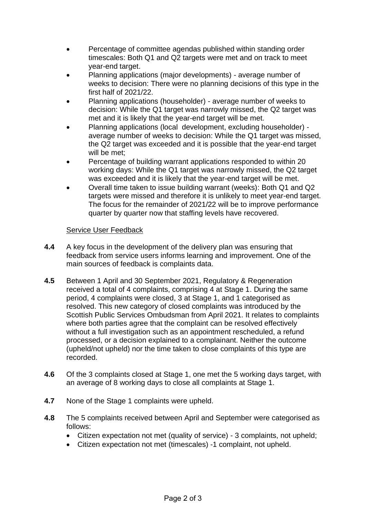- Percentage of committee agendas published within standing order timescales: Both Q1 and Q2 targets were met and on track to meet year-end target.
- Planning applications (major developments) average number of weeks to decision: There were no planning decisions of this type in the first half of 2021/22.
- Planning applications (householder) average number of weeks to decision: While the Q1 target was narrowly missed, the Q2 target was met and it is likely that the year-end target will be met.
- Planning applications (local development, excluding householder) average number of weeks to decision: While the Q1 target was missed, the Q2 target was exceeded and it is possible that the year-end target will be met;
- Percentage of building warrant applications responded to within 20 working days: While the Q1 target was narrowly missed, the Q2 target was exceeded and it is likely that the year-end target will be met.
- Overall time taken to issue building warrant (weeks): Both Q1 and Q2 targets were missed and therefore it is unlikely to meet year-end target. The focus for the remainder of 2021/22 will be to improve performance quarter by quarter now that staffing levels have recovered.

# Service User Feedback

- **4.4** A key focus in the development of the delivery plan was ensuring that feedback from service users informs learning and improvement. One of the main sources of feedback is complaints data.
- **4.5** Between 1 April and 30 September 2021, Regulatory & Regeneration received a total of 4 complaints, comprising 4 at Stage 1. During the same period, 4 complaints were closed, 3 at Stage 1, and 1 categorised as resolved. This new category of closed complaints was introduced by the Scottish Public Services Ombudsman from April 2021. It relates to complaints where both parties agree that the complaint can be resolved effectively without a full investigation such as an appointment rescheduled, a refund processed, or a decision explained to a complainant. Neither the outcome (upheld/not upheld) nor the time taken to close complaints of this type are recorded.
- **4.6** Of the 3 complaints closed at Stage 1, one met the 5 working days target, with an average of 8 working days to close all complaints at Stage 1.
- **4.7** None of the Stage 1 complaints were upheld.
- **4.8** The 5 complaints received between April and September were categorised as follows:
	- Citizen expectation not met (quality of service) 3 complaints, not upheld;
	- Citizen expectation not met (timescales) -1 complaint, not upheld.